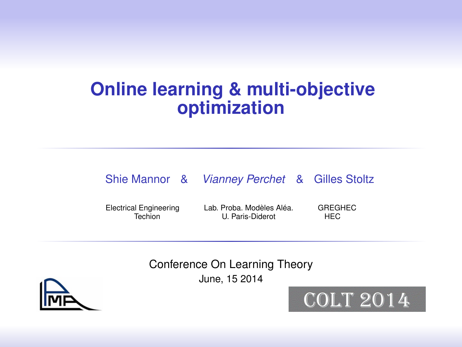#### **Online learning & multi-objective optimization**

#### Shie Mannor & *Vianney Perchet* & Gilles Stoltz

Electrical Engineering Lab. Proba. Modèles Aléa. GREGHEC **TE Paris-Diderot** 

Conference On Learning Theory June, 15 2014



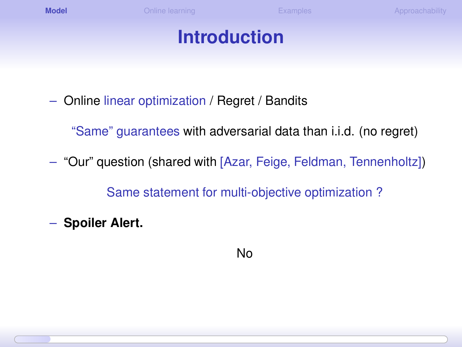#### **Introduction**

– Online linear optimization / Regret / Bandits

"Same" guarantees with adversarial data than i.i.d. (no regret)

– "Our" question (shared with [Azar, Feige, Feldman, Tennenholtz])

Same statement for multi-objective optimization ?

– **Spoiler Alert.**

<span id="page-1-0"></span>No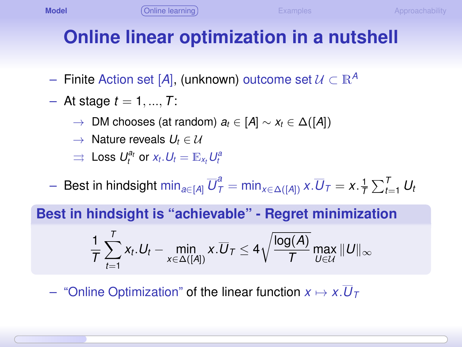## **Online linear optimization in a nutshell**

- $-$  Finite Action set [A], (unknown) outcome set  $U \subset \mathbb{R}^A$
- $-$  At stage  $t = 1, ..., T$ :
	- $\rightarrow$  DM chooses (at random)  $a_t \in [A] \sim x_t \in \Delta([A])$
	- $\rightarrow$  Nature reveals  $U_t \in \mathcal{U}$
	- $\Rightarrow$  Loss  $U_t^{a_t}$  or  $x_t$ .  $U_t = \mathbb{E}_{x_t} U_t^{a_t}$
- $-$  Best in hindsight  $\min_{a\in [A]}\overline{U}_{\mathcal{T}}^a=\min_{x\in \Delta([A])}x.\overline{U}_{\mathcal{T}}=x.\frac{1}{\mathcal{T}}\sum_{t=1}^{\mathcal{T}}U_t$

**Best in hindsight is "achievable" - Regret minimization**

<span id="page-2-0"></span>
$$
\frac{1}{T}\sum_{t=1}^T x_t.U_t - \min_{x\in \Delta([A])} x.\overline{U}_T \leq 4\sqrt{\frac{\log(A)}{T}}\max_{U\in \mathcal{U}}\|U\|_\infty
$$

– "Online Optimization" of the linear function  $x \mapsto x.\overline{U}_{\tau}$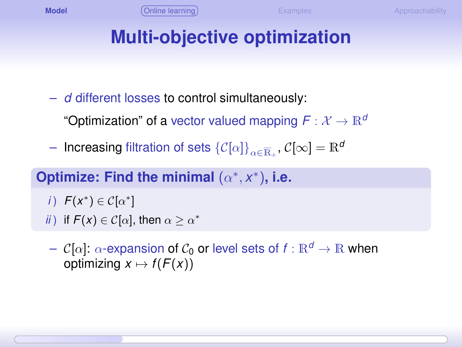<span id="page-3-0"></span>

## **Multi-objective optimization**

– *d* different losses to control simultaneously:

"Optimization" of a vector valued mapping  $F: \mathcal{X} \to \mathbb{R}^d$ 

 $-$  Increasing filtration of sets  $\{\mathcal{C}[\alpha]\}_{\alpha \in \overline{\mathbb{R}}_+}, \mathcal{C}[\infty] = \mathbb{R}^d$ 

#### Optimize: Find the minimal  $(\alpha^*, x^*)$ , i.e.

- *i*)  $F(x^*) \in C[\alpha^*]$
- *ii*) if  $F(x) \in C[\alpha]$ , then  $\alpha \ge \alpha^*$
- $-\mathcal{C}[\alpha]: \alpha$ -expansion of  $\mathcal{C}_0$  or level sets of  $f : \mathbb{R}^d \to \mathbb{R}$  when optimizing  $x \mapsto f(F(x))$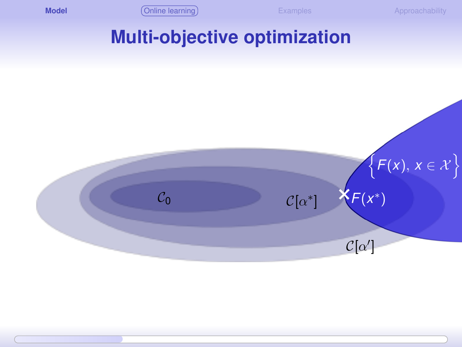<span id="page-4-0"></span>

#### **Multi-objective optimization**

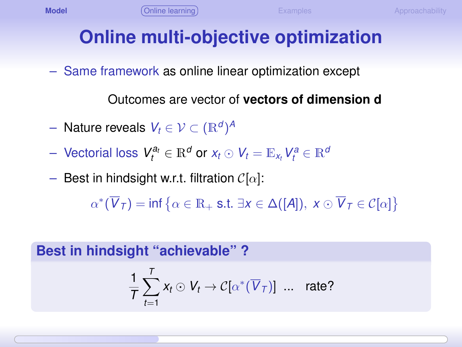## **Online multi-objective optimization**

– Same framework as online linear optimization except

Outcomes are vector of **vectors of dimension d**

- $-$  Nature reveals  $V_t \in \mathcal{V} \subset (\mathbb{R}^d)^A$
- $\bm{V} = \bm{V}$  vectorial loss  $\bm{V}^{a_t}_t \in \mathbb{R}^d$  or  $x_t \odot \bm{V}_t = \mathbb{E}_{x_t} \bm{V}^a_t \in \mathbb{R}^d$
- Best in hindsight w.r.t. filtration  $\mathcal{C}[\alpha]$ :

 $\alpha^*(\overline{V}_\mathcal{T}) = \inf \big\{ \alpha \in \mathbb{R}_+ \text{ s.t. } \exists x \in \Delta([\mathcal{A}]), \ x \odot \overline{V}_\mathcal{T} \in \mathcal{C}[\alpha] \big\}$ 

**Best in hindsight "achievable" ?**

<span id="page-5-0"></span>
$$
\frac{1}{T}\sum_{t=1}^T x_t \odot V_t \rightarrow \mathcal{C}[\alpha^*(\overline{V}_{\mathcal{T}})] \ \dots \ \ \text{rate?}
$$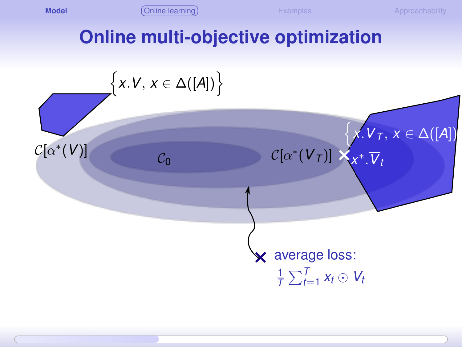<span id="page-6-0"></span>

#### **Online multi-objective optimization**

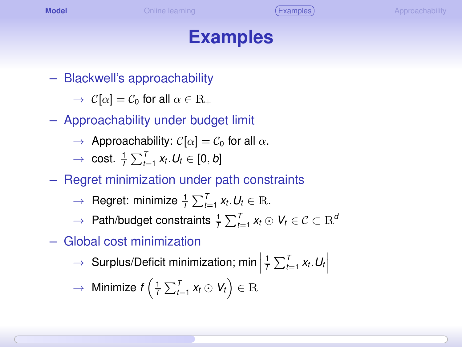#### **Examples**

– Blackwell's approachability

 $\rightarrow$   $C[\alpha] = C_0$  for all  $\alpha \in \mathbb{R}_+$ 

- Approachability under budget limit
	- $\rightarrow$  Approachability:  $C[\alpha] = C_0$  for all  $\alpha$ .
	- $\rightarrow$  cost.  $\frac{1}{T}\sum_{t=1}^{T}x_{t}$ .  $U_{t}\in[0,b]$
- Regret minimization under path constraints
	- $\rightarrow$  Regret: minimize  $\frac{1}{T} \sum_{t=1}^{T} x_t \cdot U_t \in \mathbb{R}$ .
	- $\rightarrow$  Path/budget constraints  $\frac{1}{T}\sum_{t=1}^{T}x_{t}\odot V_{t} \in \mathcal{C} \subset \mathbb{R}^{d}$
- Global cost minimization
	- $\rightarrow$  Surplus/Deficit minimization; min  $\frac{1}{T} \sum_{t=1}^{T} x_t \cdot U_t$

<span id="page-7-0"></span>
$$
\rightarrow \text{ Minimize } f\left(\frac{1}{T}\sum_{t=1}^{T}x_{t} \odot V_{t}\right) \in \mathbb{R}
$$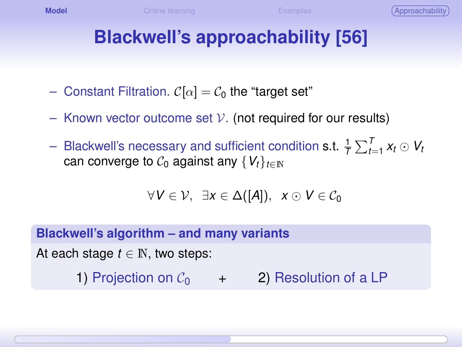## **Blackwell's approachability [56]**

- Constant Filtration.  $C[\alpha] = C_0$  the "target set"
- Known vector outcome set  $V$ . (not required for our results)
- $-$  Blackwell's necessary and sufficient condition s.t.  $\frac{1}{7}\sum_{t=1}^{T}x_{t}\odot V_{t}$ can converge to  $C_0$  against any  $\{V_t\}_{t\in\mathbb{N}}$

<span id="page-8-0"></span>
$$
\forall V \in \mathcal{V}, \exists x \in \Delta([A]), \ x \odot V \in \mathcal{C}_0
$$

**Blackwell's algorithm – and many variants**

At each stage  $t \in \mathbb{N}$ , two steps:

1) Projection on  $C_0$  + 2) Resolution of a LP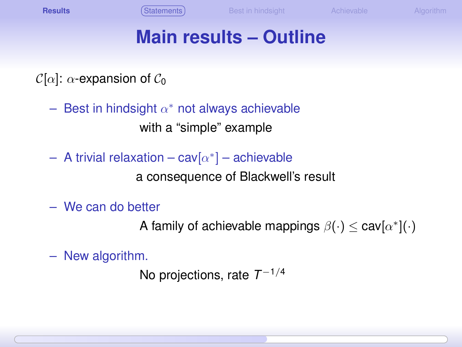## **Main results – Outline**

 $\mathcal{C}[\alpha]$ :  $\alpha$ -expansion of  $\mathcal{C}_0$ 

- $-$  Best in hindsight  $\alpha^*$  not always achievable with a "simple" example
- $-$  A trivial relaxation  $-\operatorname{\sf cav}[\alpha^*]$  achievable

a consequence of Blackwell's result

– We can do better

A family of achievable mappings  $\beta(\cdot) \leq \mathsf{cav}[\alpha^*](\cdot)$ 

– New algorithm.

<span id="page-9-0"></span>No projections, rate *T* −1/4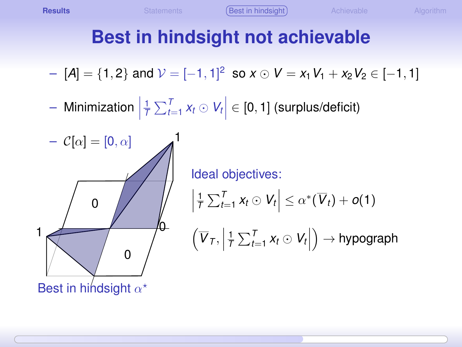# **Best in hindsight not achievable**

$$
- [A] = \{1,2\} \text{ and } \mathcal{V} = [-1,1]^2 \text{ so } x \odot V = x_1 V_1 + x_2 V_2 \in [-1,1]
$$

– Minimization $\Big|$  $\frac{1}{T}\sum_{t=1}^{T}x_{t}\odot V_{t}$   $\in$  [0, 1] (surplus/deficit)



<span id="page-10-0"></span>Ideal objectives:  $\left|\frac{1}{T}\sum_{t=1}^T x_t \odot V_t\right| \leq \alpha^*(\overline{V}_t) + o(1)$  $\left(\overline{V}_7,\right)$  $\frac{1}{T}\sum_{t=1}^T x_t \odot V_t$  $) \rightarrow$  hypograph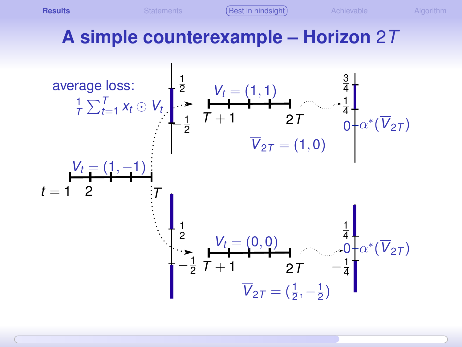**[Results](#page-11-0) Results** [Statements](#page-9-0) **[Best in hindsight](#page-10-0)** [Achievable](#page-12-0) [Algorithm](#page-18-0)

<span id="page-11-0"></span>

## **A simple counterexample – Horizon** 2*T*

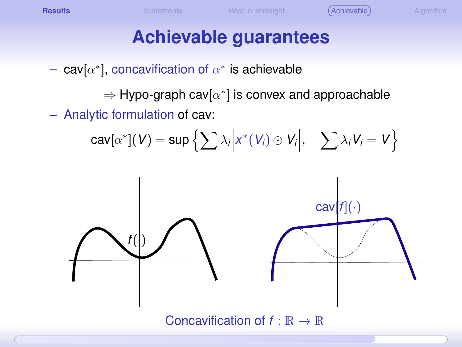- $-$  cav[ $\alpha^*$ ], concavification of  $\alpha^*$  is achievable
	- $\Rightarrow$  Hypo-graph cav $[\alpha^*]$  is convex and approachable
- Analytic formulation of cav:

<span id="page-12-0"></span>
$$
\mathsf{cav}[\alpha^*](V) = \mathsf{sup}\left\{\sum \lambda_i \Big| x^*(V_i) \odot V_i \Big|, \quad \sum \lambda_i V_i = V \right\}
$$

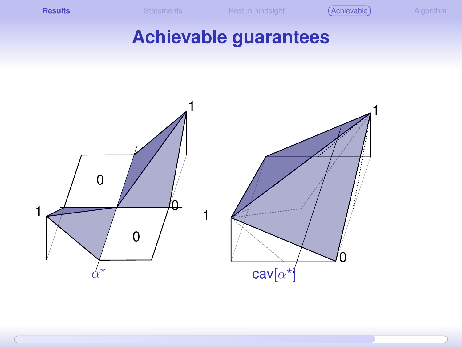**[Results](#page-13-0) Results** [Statements](#page-9-0) [Best in hindsight](#page-10-0) **[Achievable](#page-17-0) [Algorithm](#page-18-0)** 

<span id="page-13-0"></span>

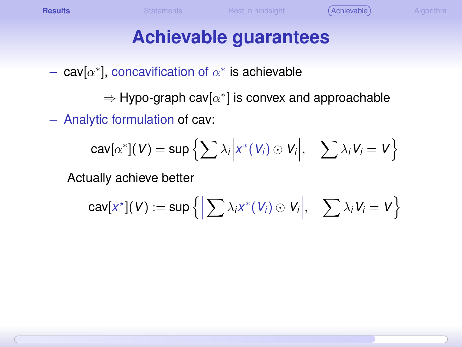## **Achievable guarantees**

 $-$  cav[ $\alpha^*$ ], concavification of  $\alpha^*$  is achievable

 $\Rightarrow$  Hypo-graph cav[ $\alpha^*$ ] is convex and approachable

– Analytic formulation of cav:

$$
\mathsf{cav}[\alpha^*](V) = \mathsf{sup}\left\{\sum \lambda_i \Big| x^*(V_i) \odot V_i \Big|, \quad \sum \lambda_i V_i = V \right\}
$$

Actually achieve better

<span id="page-14-0"></span>
$$
\underline{\text{cav}}[x^*](V) := \sup \left\{ \Big| \sum \lambda_i x^*(V_i) \odot V_i \Big|, \quad \sum \lambda_i V_i = V \right\}
$$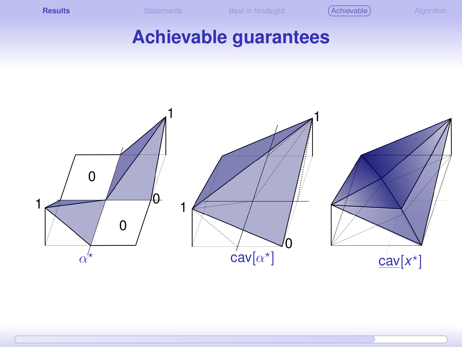**[Results](#page-15-0) Results** [Statements](#page-9-0) [Best in hindsight](#page-10-0) **[Achievable](#page-17-0) [Algorithm](#page-18-0)** 

<span id="page-15-0"></span>

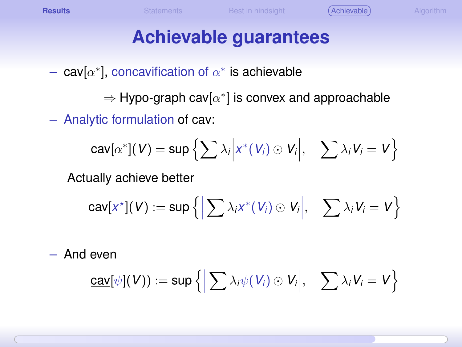## **Achievable guarantees**

 $-$  cav[ $\alpha^*$ ], concavification of  $\alpha^*$  is achievable

 $\Rightarrow$  Hypo-graph cav[ $\alpha^*$ ] is convex and approachable

– Analytic formulation of cav:

$$
\mathsf{cav}[\alpha^*](V) = \mathsf{sup}\left\{\sum \lambda_i \Big| x^*(V_i) \odot V_i \Big|, \quad \sum \lambda_i V_i = V \right\}
$$

Actually achieve better

$$
\underline{\text{cav}}[x^*](V) := \sup \left\{ \Big| \sum \lambda_i x^*(V_i) \odot V_i \Big|, \quad \sum \lambda_i V_i = V \right\}
$$

– And even

<span id="page-16-0"></span>
$$
\underline{\text{cav}}[\psi](V)) := \sup \left\{ \Big|\sum \lambda_i \psi(V_i) \odot V_i \Big|, \quad \sum \lambda_i V_i = V \right\}
$$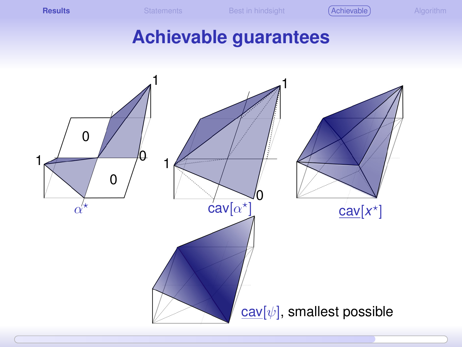**[Results](#page-17-0) [Statements](#page-9-0)** [Best in hindsight](#page-10-0) **[Achievable](#page-12-0) [Algorithm](#page-18-0)** Algorithm

<span id="page-17-0"></span>

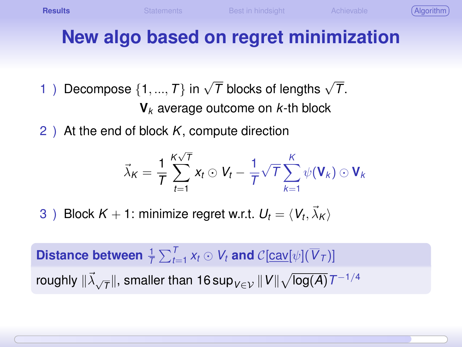<span id="page-18-0"></span>

# **New algo based on regret minimization**

- 1) Decompose  $\{1, ..., T\}$  in  $\sqrt{\overline{I}}$  blocks of lengths  $\sqrt{\overline{I}}$ . **V***<sup>k</sup>* average outcome on *k*-th block
- 2 ) At the end of block *K*, compute direction

$$
\vec{\lambda}_K = \frac{1}{T} \sum_{t=1}^{K \sqrt{T}} x_t \odot V_t - \frac{1}{T} \sqrt{T} \sum_{k=1}^{K} \psi(V_k) \odot V_k
$$

3 ) Block  $K + 1$ : minimize regret w.r.t.  $U_t = \langle V_t, \vec{\lambda}_K \rangle$ 

 $\bm{\mathsf{Distance}}$  between  $\frac{1}{\mathcal{T}}\sum_{t=1}^T x_t \odot V_t$  and  $\mathcal{C}[\underbar{\text{cav}}[\psi](\overline{V}_{\mathcal{T}})]$ roughly  $\|\vec{\lambda}_{\sqrt{\mathcal{T}}}\|$ , smaller than 16 sup $_{V\in\mathcal{V}}\|V\|\sqrt{\log(A)}\,T^{-1/4}$